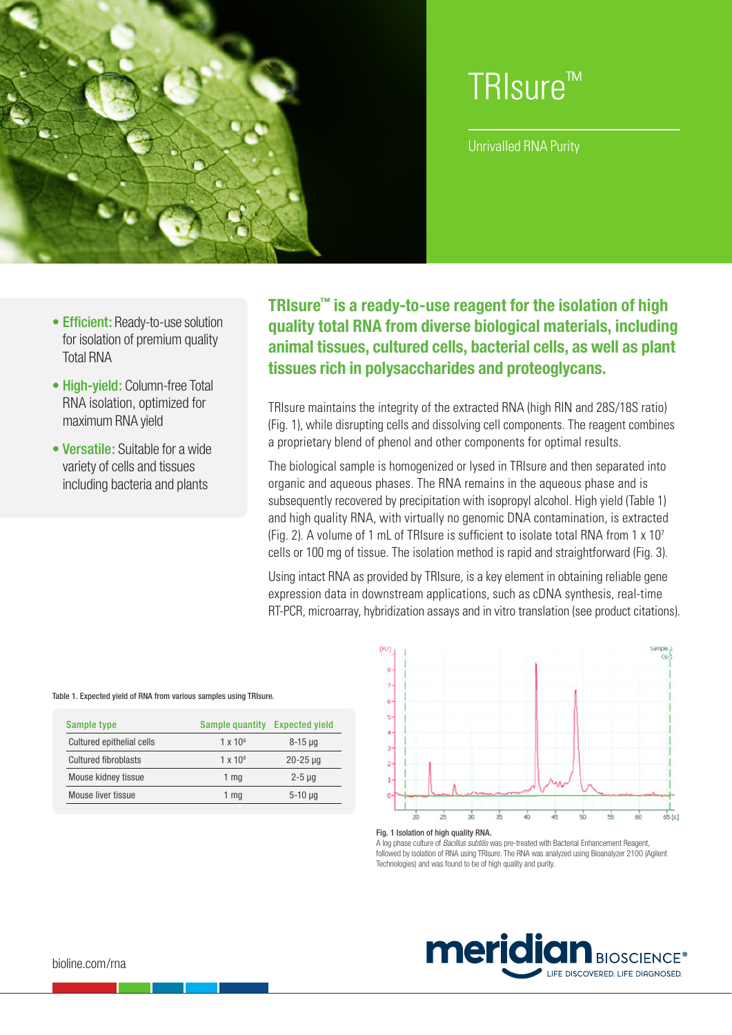

# TRIsure™

Unrivalled RNA Purity

- Efficient: Ready-to-use solution for isolation of premium quality Total RNA
- High-vield: Column-free Total RNA isolation, optimized for maximum RNA yield
- Versatile: Suitable for a wide variety of cells and tissues including bacteria and plants

**TRIsure™ is a ready-to-use reagent for the isolation of high quality total RNA from diverse biological materials, including animal tissues, cultured cells, bacterial cells, as well as plant tissues rich in polysaccharides and proteoglycans.**

TRIsure maintains the integrity of the extracted RNA (high RIN and 28S/18S ratio) (Fig. 1), while disrupting cells and dissolving cell components. The reagent combines a proprietary blend of phenol and other components for optimal results.

The biological sample is homogenized or lysed in TRIsure and then separated into organic and aqueous phases. The RNA remains in the aqueous phase and is subsequently recovered by precipitation with isopropyl alcohol. High yield (Table 1) and high quality RNA, with virtually no genomic DNA contamination, is extracted (Fig. 2). A volume of 1 mL of TRIsure is sufficient to isolate total RNA from 1  $\times$  10<sup>7</sup> cells or 100 mg of tissue. The isolation method is rapid and straightforward (Fig. 3).

Using intact RNA as provided by TRIsure, is a key element in obtaining reliable gene expression data in downstream applications, such as cDNA synthesis, real-time RT-PCR, microarray, hybridization assays and in vitro translation (see product citations).



#### Fig. 1 Isolation of high quality RNA.

A log phase culture of *Bacillus subtilis* was pre-treated with Bacterial Enhancement Reagent, followed by isolation of RNA using TRIsure. The RNA was analyzed using Bioanalyzer 2100 (Agilent Technologies) and was found to be of high quality and purity.



#### Table 1. Expected yield of RNA from various samples using TRIsure.

| Sample type                 | Sample quantity | <b>Expected yield</b> |
|-----------------------------|-----------------|-----------------------|
| Cultured epithelial cells   | $1 \times 10^6$ | $8 - 15$ µg           |
| <b>Cultured fibroblasts</b> | $1 \times 10^6$ | $20 - 25 \mu g$       |
| Mouse kidney tissue         | 1 <sub>mq</sub> | $2-5$ µg              |
| Mouse liver tissue          | 1 mg            | $5-10 \mu q$          |